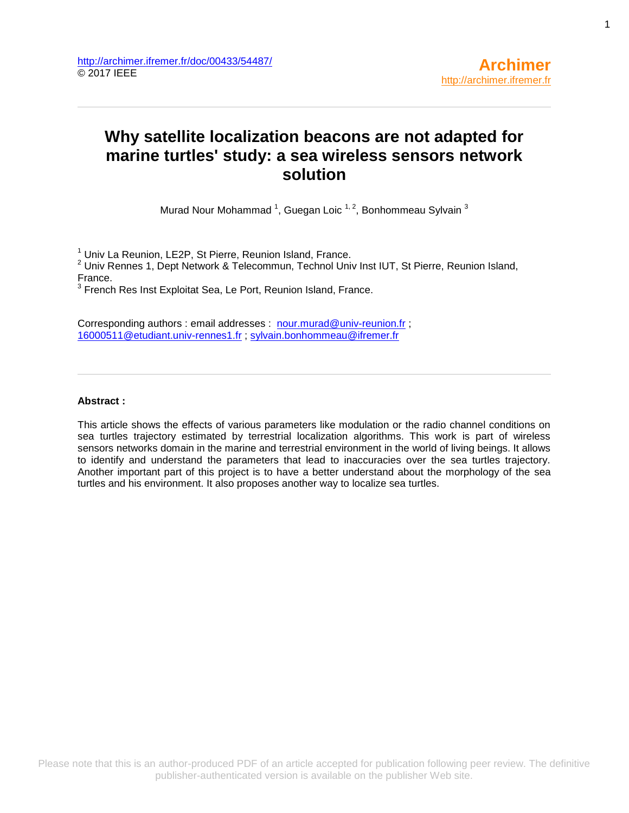# **Why satellite localization beacons are not adapted for marine turtles' study: a sea wireless sensors network solution**

Murad Nour Mohammad  $^1$ , Guegan Loic  $^{1,2}$ , Bonhommeau Sylvain  $^3$ 

<sup>1</sup> Univ La Reunion, LE2P, St Pierre, Reunion Island, France.

 $2$  Univ Rennes 1, Dept Network & Telecommun, Technol Univ Inst IUT, St Pierre, Reunion Island, France.

 $3$  French Res Inst Exploitat Sea, Le Port, Reunion Island, France.

Corresponding authors : email addresses : [nour.murad@univ-reunion.fr](mailto:nour.murad@univ-reunion.fr) ; [16000511@etudiant.univ-rennes1.fr](mailto:16000511@etudiant.univ-rennes1.fr) ; [sylvain.bonhommeau@ifremer.fr](mailto:sylvain.bonhommeau@ifremer.fr)

## **Abstract :**

This article shows the effects of various parameters like modulation or the radio channel conditions on sea turtles trajectory estimated by terrestrial localization algorithms. This work is part of wireless sensors networks domain in the marine and terrestrial environment in the world of living beings. It allows to identify and understand the parameters that lead to inaccuracies over the sea turtles trajectory. Another important part of this project is to have a better understand about the morphology of the sea turtles and his environment. It also proposes another way to localize sea turtles.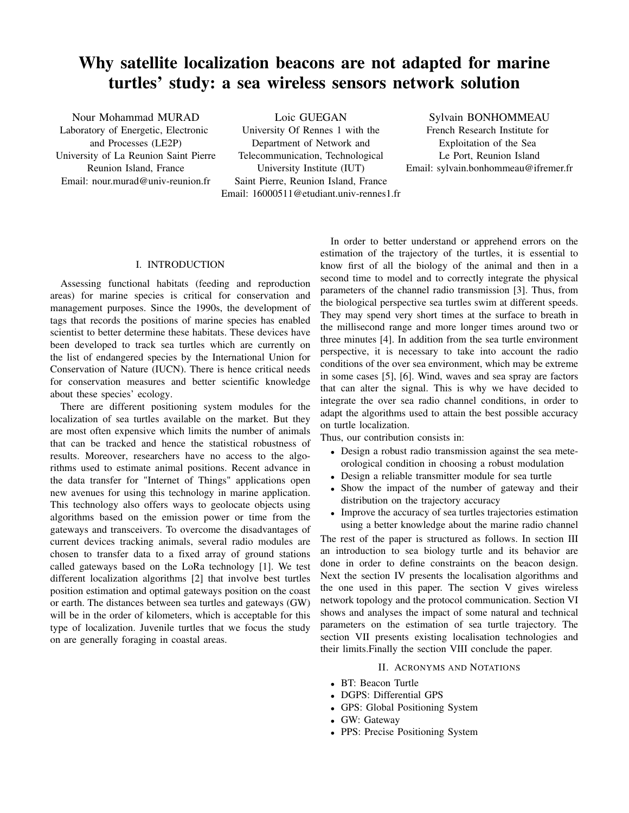#### I. INTRODUCTION

Assessing functional habitats (feeding and reproduction areas) for marine species is critical for conservation and management purposes. Since the 1990s, the development of tags that records the positions of marine species has enabled scientist to better determine these habitats. These devices have been developed to track sea turtles which are currently on the list of endangered species by the International Union for Conservation of Nature (IUCN). There is hence critical needs for conservation measures and better scientific knowledge about these species' ecology.

There are different positioning system modules for the localization of sea turtles available on the market. But they are most often expensive which limits the number of animals that can be tracked and hence the statistical robustness of results. Moreover, researchers have no access to the algorithms used to estimate animal positions. Recent advance in the data transfer for "Internet of Things" applications open new avenues for using this technology in marine application. This technology also offers ways to geolocate objects using algorithms based on the emission power or time from the gateways and transceivers. To overcome the disadvantages of current devices tracking animals, several radio modules are chosen to transfer data to a fixed array of ground stations called gateways based on the LoRa technology [1]. We test different localization algorithms [2] that involve best turtles position estimation and optimal gateways position on the coast or earth. The distances between sea turtles and gateways (GW) will be in the order of kilometers, which is acceptable for this type of localization. Juvenile turtles that we focus the study on are generally foraging in coastal areas.

In order to better understand or apprehend errors on the estimation of the trajectory of the turtles, it is essential to know first of all the biology of the animal and then in a second time to model and to correctly integrate the physical parameters of the channel radio transmission [3]. Thus, from the biological perspective sea turtles swim at different speeds. They may spend very short times at the surface to breath in the millisecond range and more longer times around two or three minutes [4]. In addition from the sea turtle environment perspective, it is necessary to take into account the radio conditions of the over sea environment, which may be extreme in some cases [5], [6]. Wind, waves and sea spray are factors that can alter the signal. This is why we have decided to integrate the over sea radio channel conditions, in order to adapt the algorithms used to attain the best possible accuracy on turtle localization.

Thus, our contribution consists in:

- Design a robust radio transmission against the sea meteorological condition in choosing a robust modulation
- Design a reliable transmitter module for sea turtle
- Show the impact of the number of gateway and their distribution on the trajectory accuracy
- Improve the accuracy of sea turtles trajectories estimation using a better knowledge about the marine radio channel

The rest of the paper is structured as follows. In section III an introduction to sea biology turtle and its behavior are done in order to define constraints on the beacon design. Next the section IV presents the localisation algorithms and the one used in this paper. The section V gives wireless network topology and the protocol communication. Section VI shows and analyses the impact of some natural and technical parameters on the estimation of sea turtle trajectory. The section VII presents existing localisation technologies and their limits.Finally the section VIII conclude the paper.

## II. ACRONYMS AND NOTATIONS

- BT: Beacon Turtle
- DGPS: Differential GPS
- GPS: Global Positioning System
- GW: Gateway
- PPS: Precise Positioning System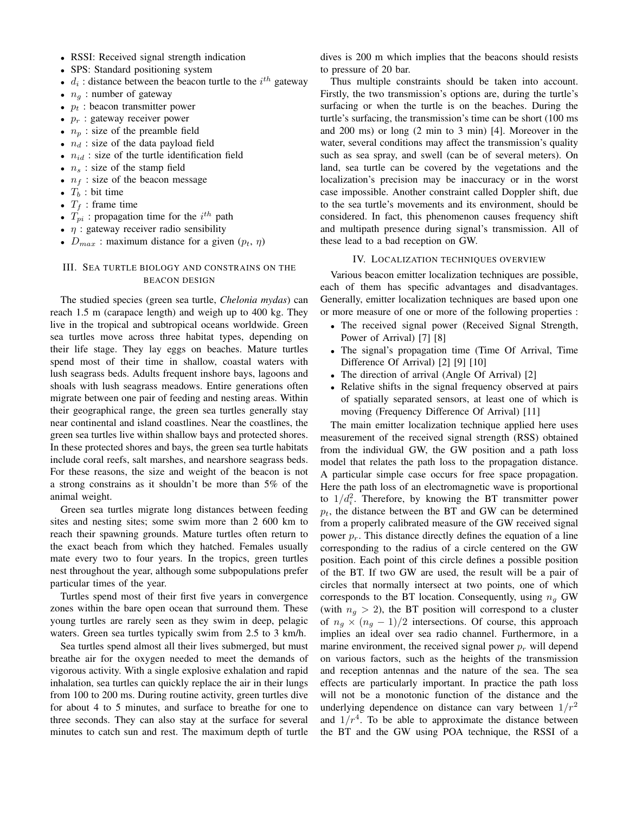- RSSI: Received signal strength indication
- SPS: Standard positioning system
- $d_i$ : distance between the beacon turtle to the  $i^{th}$  gateway
- $n_q$ : number of gateway
- $p_t$ : beacon transmitter power
- $p_r$ : gateway receiver power
- $n_p$ : size of the preamble field
- $n_d$ : size of the data payload field
- $n_{id}$ : size of the turtle identification field
- $n_s$ : size of the stamp field
- $n_f$ : size of the beacon message
- $T_b$ : bit time
- $T_f$ : frame time
- $T_{pi}$ : propagation time for the  $i^{th}$  path
- $\eta$  : gateway receiver radio sensibility
- $D_{max}$ : maximum distance for a given  $(p_t, \eta)$

## III. SEA TURTLE BIOLOGY AND CONSTRAINS ON THE BEACON DESIGN

The studied species (green sea turtle, *Chelonia mydas*) can reach 1.5 m (carapace length) and weigh up to 400 kg. They live in the tropical and subtropical oceans worldwide. Green sea turtles move across three habitat types, depending on their life stage. They lay eggs on beaches. Mature turtles spend most of their time in shallow, coastal waters with lush seagrass beds. Adults frequent inshore bays, lagoons and shoals with lush seagrass meadows. Entire generations often migrate between one pair of feeding and nesting areas. Within their geographical range, the green sea turtles generally stay near continental and island coastlines. Near the coastlines, the green sea turtles live within shallow bays and protected shores. In these protected shores and bays, the green sea turtle habitats include coral reefs, salt marshes, and nearshore seagrass beds. For these reasons, the size and weight of the beacon is not a strong constrains as it shouldn't be more than 5% of the animal weight.

Green sea turtles migrate long distances between feeding sites and nesting sites; some swim more than 2 600 km to reach their spawning grounds. Mature turtles often return to the exact beach from which they hatched. Females usually mate every two to four years. In the tropics, green turtles nest throughout the year, although some subpopulations prefer particular times of the year.

Turtles spend most of their first five years in convergence zones within the bare open ocean that surround them. These young turtles are rarely seen as they swim in deep, pelagic waters. Green sea turtles typically swim from 2.5 to 3 km/h.

Sea turtles spend almost all their lives submerged, but must breathe air for the oxygen needed to meet the demands of vigorous activity. With a single explosive exhalation and rapid inhalation, sea turtles can quickly replace the air in their lungs from 100 to 200 ms. During routine activity, green turtles dive for about 4 to 5 minutes, and surface to breathe for one to three seconds. They can also stay at the surface for several minutes to catch sun and rest. The maximum depth of turtle dives is 200 m which implies that the beacons should resists to pressure of 20 bar.

Thus multiple constraints should be taken into account. Firstly, the two transmission's options are, during the turtle's surfacing or when the turtle is on the beaches. During the turtle's surfacing, the transmission's time can be short (100 ms and 200 ms) or long (2 min to 3 min) [4]. Moreover in the water, several conditions may affect the transmission's quality such as sea spray, and swell (can be of several meters). On land, sea turtle can be covered by the vegetations and the localization's precision may be inaccuracy or in the worst case impossible. Another constraint called Doppler shift, due to the sea turtle's movements and its environment, should be considered. In fact, this phenomenon causes frequency shift and multipath presence during signal's transmission. All of these lead to a bad reception on GW.

#### IV. LOCALIZATION TECHNIQUES OVERVIEW

Various beacon emitter localization techniques are possible, each of them has specific advantages and disadvantages. Generally, emitter localization techniques are based upon one or more measure of one or more of the following properties :

- The received signal power (Received Signal Strength, Power of Arrival) [7] [8]
- The signal's propagation time (Time Of Arrival, Time Difference Of Arrival) [2] [9] [10]
- The direction of arrival (Angle Of Arrival) [2]
- Relative shifts in the signal frequency observed at pairs of spatially separated sensors, at least one of which is moving (Frequency Difference Of Arrival) [11]

The main emitter localization technique applied here uses measurement of the received signal strength (RSS) obtained from the individual GW, the GW position and a path loss model that relates the path loss to the propagation distance. A particular simple case occurs for free space propagation. Here the path loss of an electromagnetic wave is proportional to  $1/d_i^2$ . Therefore, by knowing the BT transmitter power  $p_t$ , the distance between the BT and GW can be determined from a properly calibrated measure of the GW received signal power  $p_r$ . This distance directly defines the equation of a line corresponding to the radius of a circle centered on the GW position. Each point of this circle defines a possible position of the BT. If two GW are used, the result will be a pair of circles that normally intersect at two points, one of which corresponds to the BT location. Consequently, using  $n_q$  GW (with  $n_q > 2$ ), the BT position will correspond to a cluster of  $n_q \times (n_q - 1)/2$  intersections. Of course, this approach implies an ideal over sea radio channel. Furthermore, in a marine environment, the received signal power  $p_r$  will depend on various factors, such as the heights of the transmission and reception antennas and the nature of the sea. The sea effects are particularly important. In practice the path loss will not be a monotonic function of the distance and the underlying dependence on distance can vary between  $1/r^2$ and  $1/r<sup>4</sup>$ . To be able to approximate the distance between the BT and the GW using POA technique, the RSSI of a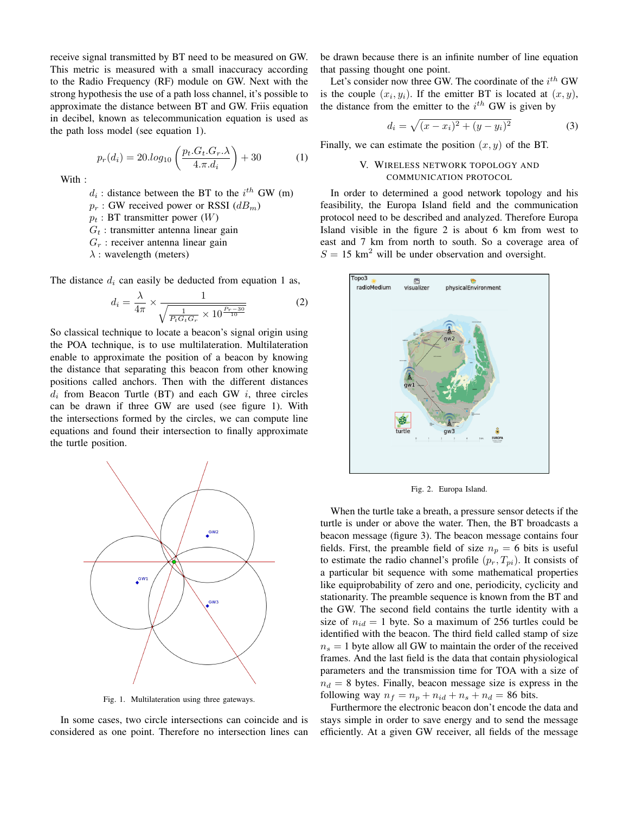receive signal transmitted by BT need to be measured on GW. This metric is measured with a small inaccuracy according to the Radio Frequency (RF) module on GW. Next with the strong hypothesis the use of a path loss channel, it's possible to approximate the distance between BT and GW. Friis equation in decibel, known as telecommunication equation is used as the path loss model (see equation 1).

$$
p_r(d_i) = 20 \cdot log_{10} \left( \frac{p_t \cdot G_t \cdot G_r \cdot \lambda}{4 \cdot \pi \cdot d_i} \right) + 30 \tag{1}
$$

With:

 $d_i$ : distance between the BT to the  $i^{th}$  GW (m)

- $p_r$ : GW received power or RSSI  $(dB<sub>m</sub>)$
- $p_t$ : BT transmitter power  $(W)$
- $G_t$ : transmitter antenna linear gain
- $G_r$ : receiver antenna linear gain
- $\lambda$  : wavelength (meters)

The distance  $d_i$  can easily be deducted from equation 1 as,

$$
d_i = \frac{\lambda}{4\pi} \times \frac{1}{\sqrt{\frac{1}{P_t G_t G_r} \times 10^{\frac{P_r - 30}{10}}}}
$$
(2)

So classical technique to locate a beacon's signal origin using the POA technique, is to use multilateration. Multilateration enable to approximate the position of a beacon by knowing the distance that separating this beacon from other knowing positions called anchors. Then with the different distances  $d_i$  from Beacon Turtle (BT) and each GW  $i$ , three circles can be drawn if three GW are used (see figure 1). With the intersections formed by the circles, we can compute line equations and found their intersection to finally approximate the turtle position.



Fig. 1. Multilateration using three gateways.

In some cases, two circle intersections can coincide and is considered as one point. Therefore no intersection lines can

be drawn because there is an infinite number of line equation that passing thought one point.

Let's consider now three GW. The coordinate of the  $i^{th}$  GW is the couple  $(x_i, y_i)$ . If the emitter BT is located at  $(x, y)$ , the distance from the emitter to the  $i^{th}$  GW is given by

$$
d_i = \sqrt{(x - x_i)^2 + (y - y_i)^2}
$$
 (3)

Finally, we can estimate the position  $(x, y)$  of the BT.

## V. WIRELESS NETWORK TOPOLOGY AND COMMUNICATION PROTOCOL

In order to determined a good network topology and his feasibility, the Europa Island field and the communication protocol need to be described and analyzed. Therefore Europa Island visible in the figure 2 is about 6 km from west to east and 7 km from north to south. So a coverage area of  $S = 15$  km<sup>2</sup> will be under observation and oversight.



Fig. 2. Europa Island.

When the turtle take a breath, a pressure sensor detects if the turtle is under or above the water. Then, the BT broadcasts a beacon message (figure 3). The beacon message contains four fields. First, the preamble field of size  $n_p = 6$  bits is useful to estimate the radio channel's profile  $(p_r, T_{pi})$ . It consists of a particular bit sequence with some mathematical properties like equiprobability of zero and one, periodicity, cyclicity and stationarity. The preamble sequence is known from the BT and the GW. The second field contains the turtle identity with a size of  $n_{id} = 1$  byte. So a maximum of 256 turtles could be identified with the beacon. The third field called stamp of size  $n<sub>s</sub> = 1$  byte allow all GW to maintain the order of the received frames. And the last field is the data that contain physiological parameters and the transmission time for TOA with a size of  $n_d = 8$  bytes. Finally, beacon message size is express in the following way  $n_f = n_p + n_{id} + n_s + n_d = 86$  bits.

Furthermore the electronic beacon don't encode the data and stays simple in order to save energy and to send the message efficiently. At a given GW receiver, all fields of the message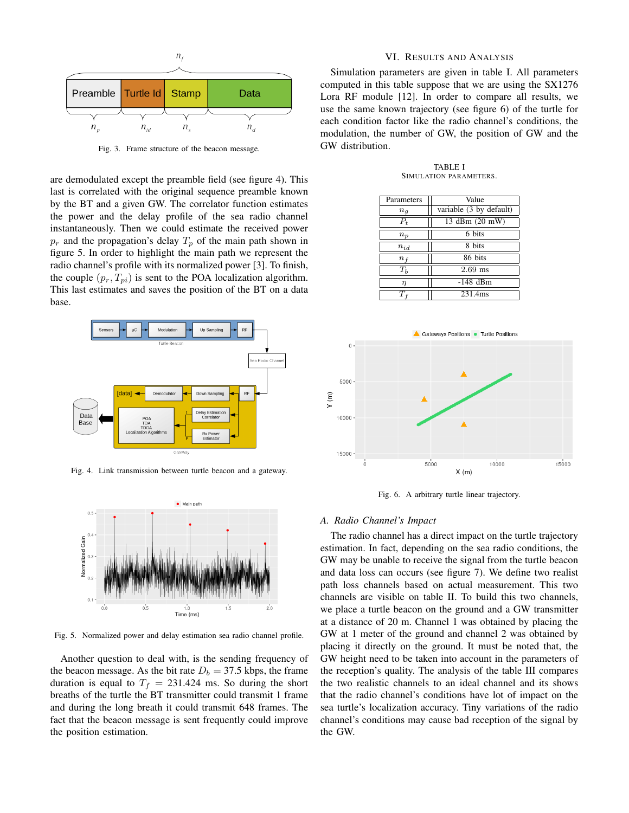

Fig. 3. Frame structure of the beacon message.

are demodulated except the preamble field (see figure 4). This last is correlated with the original sequence preamble known by the BT and a given GW. The correlator function estimates the power and the delay profile of the sea radio channel instantaneously. Then we could estimate the received power  $p_r$  and the propagation's delay  $T_p$  of the main path shown in figure 5. In order to highlight the main path we represent the radio channel's profile with its normalized power [3]. To finish, the couple  $(p_r, T_{pi})$  is sent to the POA localization algorithm. This last estimates and saves the position of the BT on a data base.



Fig. 4. Link transmission between turtle beacon and a gateway.



Fig. 5. Normalized power and delay estimation sea radio channel profile.

Another question to deal with, is the sending frequency of the beacon message. As the bit rate  $D_b = 37.5$  kbps, the frame duration is equal to  $T_f = 231.424$  ms. So during the short breaths of the turtle the BT transmitter could transmit 1 frame and during the long breath it could transmit 648 frames. The fact that the beacon message is sent frequently could improve the position estimation.

## VI. RESULTS AND ANALYSIS

Simulation parameters are given in table I. All parameters computed in this table suppose that we are using the SX1276 Lora RF module [12]. In order to compare all results, we use the same known trajectory (see figure 6) of the turtle for each condition factor like the radio channel's conditions, the modulation, the number of GW, the position of GW and the GW distribution.

TABLE I SIMULATION PARAMETERS.

| Parameters  | Value                                  |  |
|-------------|----------------------------------------|--|
| $n_q$       | variable $(3 \overline{ by }$ default) |  |
| $P_t$       | 13 dBm (20 mW)                         |  |
| $n_p$       | 6 bits                                 |  |
| $n_{id}$    | 8 bits                                 |  |
| $n_{\rm f}$ | 86 bits                                |  |
| $T_h$       | $2.69$ ms                              |  |
| $\eta$      | $-148$ dBm                             |  |
|             | 231.4ms                                |  |



Fig. 6. A arbitrary turtle linear trajectory.

#### *A. Radio Channel's Impact*

The radio channel has a direct impact on the turtle trajectory estimation. In fact, depending on the sea radio conditions, the GW may be unable to receive the signal from the turtle beacon and data loss can occurs (see figure 7). We define two realist path loss channels based on actual measurement. This two channels are visible on table II. To build this two channels, we place a turtle beacon on the ground and a GW transmitter at a distance of 20 m. Channel 1 was obtained by placing the GW at 1 meter of the ground and channel 2 was obtained by placing it directly on the ground. It must be noted that, the GW height need to be taken into account in the parameters of the reception's quality. The analysis of the table III compares the two realistic channels to an ideal channel and its shows that the radio channel's conditions have lot of impact on the sea turtle's localization accuracy. Tiny variations of the radio channel's conditions may cause bad reception of the signal by the GW.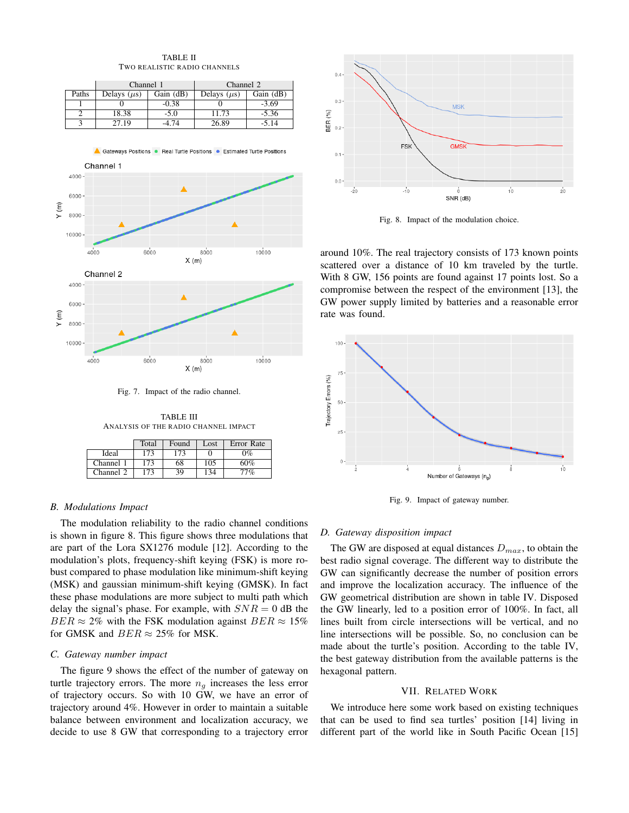|                              | <b>TABLE II</b> |  |
|------------------------------|-----------------|--|
| TWO REALISTIC RADIO CHANNELS |                 |  |

|       | Channel 1        |           | Channel 2        |           |
|-------|------------------|-----------|------------------|-----------|
| Paths | Delays $(\mu s)$ | Gain (dB) | Delays $(\mu s)$ | Gain (dB) |
|       |                  | $-0.38$   |                  | $-3.69$   |
|       | 18.38            | $-5.0$    | 11.73            | $-5.36$   |
|       | 27.19            | 4.74      | 26.89            | $-5.14$   |





Fig. 7. Impact of the radio channel.

TABLE III ANALYSIS OF THE RADIO CHANNEL IMPACT

|           | Total | Found | Lost | Error Rate |
|-----------|-------|-------|------|------------|
| Ideal     | 173   | 173   |      | 0%         |
| Channel 1 | 173   | 68    | 105  | 60%        |
| Channel 2 | 173   | 39    |      | 7%,        |

## *B. Modulations Impact*

The modulation reliability to the radio channel conditions is shown in figure 8. This figure shows three modulations that are part of the Lora SX1276 module [12]. According to the modulation's plots, frequency-shift keying (FSK) is more robust compared to phase modulation like minimum-shift keying (MSK) and gaussian minimum-shift keying (GMSK). In fact these phase modulations are more subject to multi path which delay the signal's phase. For example, with  $SNR = 0$  dB the  $BER \approx 2\%$  with the FSK modulation against  $BER \approx 15\%$ for GMSK and  $BER \approx 25\%$  for MSK.

#### *C. Gateway number impact*

The figure 9 shows the effect of the number of gateway on turtle trajectory errors. The more  $n_q$  increases the less error of trajectory occurs. So with 10 GW, we have an error of trajectory around 4%. However in order to maintain a suitable balance between environment and localization accuracy, we decide to use 8 GW that corresponding to a trajectory error



Fig. 8. Impact of the modulation choice.

around 10%. The real trajectory consists of 173 known points scattered over a distance of 10 km traveled by the turtle. With 8 GW, 156 points are found against 17 points lost. So a compromise between the respect of the environment [13], the GW power supply limited by batteries and a reasonable error rate was found.



Fig. 9. Impact of gateway number.

#### *D. Gateway disposition impact*

The GW are disposed at equal distances  $D_{max}$ , to obtain the best radio signal coverage. The different way to distribute the GW can significantly decrease the number of position errors and improve the localization accuracy. The influence of the GW geometrical distribution are shown in table IV. Disposed the GW linearly, led to a position error of 100%. In fact, all lines built from circle intersections will be vertical, and no line intersections will be possible. So, no conclusion can be made about the turtle's position. According to the table IV, the best gateway distribution from the available patterns is the hexagonal pattern.

#### VII. RELATED WORK

We introduce here some work based on existing techniques that can be used to find sea turtles' position [14] living in different part of the world like in South Pacific Ocean [15]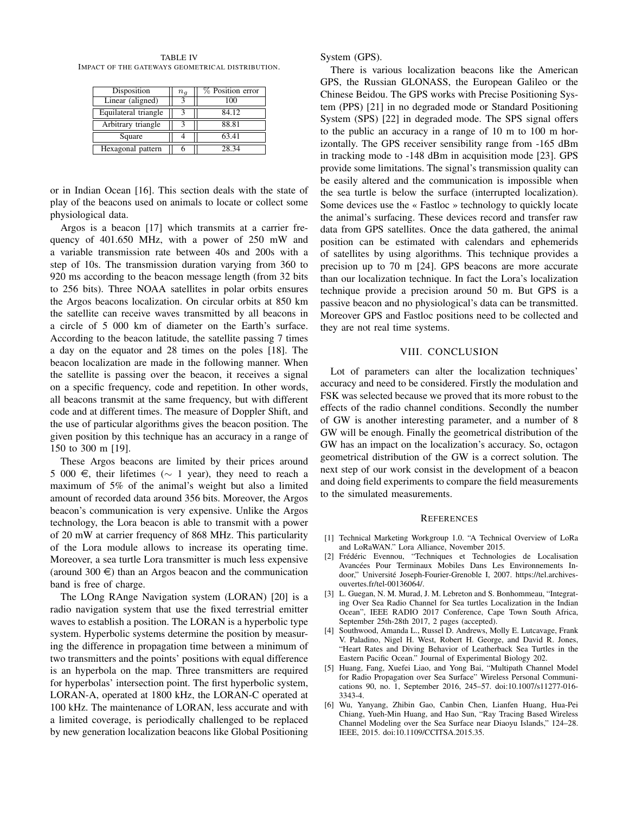TABLE IV IMPACT OF THE GATEWAYS GEOMETRICAL DISTRIBUTION.

| Disposition          | $n_{q}$ | % Position error |
|----------------------|---------|------------------|
| Linear (aligned)     |         | 100              |
| Equilateral triangle |         | 84.12            |
| Arbitrary triangle   |         | 88.81            |
| Square               |         | 63.41            |
| Hexagonal pattern    |         | 28 34            |

or in Indian Ocean [16]. This section deals with the state of play of the beacons used on animals to locate or collect some physiological data.

Argos is a beacon [17] which transmits at a carrier frequency of 401.650 MHz, with a power of 250 mW and a variable transmission rate between 40s and 200s with a step of 10s. The transmission duration varying from 360 to 920 ms according to the beacon message length (from 32 bits to 256 bits). Three NOAA satellites in polar orbits ensures the Argos beacons localization. On circular orbits at 850 km the satellite can receive waves transmitted by all beacons in a circle of 5 000 km of diameter on the Earth's surface. According to the beacon latitude, the satellite passing 7 times a day on the equator and 28 times on the poles [18]. The beacon localization are made in the following manner. When the satellite is passing over the beacon, it receives a signal on a specific frequency, code and repetition. In other words, all beacons transmit at the same frequency, but with different code and at different times. The measure of Doppler Shift, and the use of particular algorithms gives the beacon position. The given position by this technique has an accuracy in a range of 150 to 300 m [19].

These Argos beacons are limited by their prices around 5 000 €, their lifetimes ( $\sim$  1 year), they need to reach a maximum of 5% of the animal's weight but also a limited amount of recorded data around 356 bits. Moreover, the Argos beacon's communication is very expensive. Unlike the Argos technology, the Lora beacon is able to transmit with a power of 20 mW at carrier frequency of 868 MHz. This particularity of the Lora module allows to increase its operating time. Moreover, a sea turtle Lora transmitter is much less expensive (around 300  $\in$ ) than an Argos beacon and the communication band is free of charge.

The LOng RAnge Navigation system (LORAN) [20] is a radio navigation system that use the fixed terrestrial emitter waves to establish a position. The LORAN is a hyperbolic type system. Hyperbolic systems determine the position by measuring the difference in propagation time between a minimum of two transmitters and the points' positions with equal difference is an hyperbola on the map. Three transmitters are required for hyperbolas' intersection point. The first hyperbolic system, LORAN-A, operated at 1800 kHz, the LORAN-C operated at 100 kHz. The maintenance of LORAN, less accurate and with a limited coverage, is periodically challenged to be replaced by new generation localization beacons like Global Positioning System (GPS).

There is various localization beacons like the American GPS, the Russian GLONASS, the European Galileo or the Chinese Beidou. The GPS works with Precise Positioning System (PPS) [21] in no degraded mode or Standard Positioning System (SPS) [22] in degraded mode. The SPS signal offers to the public an accuracy in a range of 10 m to 100 m horizontally. The GPS receiver sensibility range from -165 dBm in tracking mode to -148 dBm in acquisition mode [23]. GPS provide some limitations. The signal's transmission quality can be easily altered and the communication is impossible when the sea turtle is below the surface (interrupted localization). Some devices use the « Fastloc » technology to quickly locate the animal's surfacing. These devices record and transfer raw data from GPS satellites. Once the data gathered, the animal position can be estimated with calendars and ephemerids of satellites by using algorithms. This technique provides a precision up to 70 m [24]. GPS beacons are more accurate than our localization technique. In fact the Lora's localization technique provide a precision around 50 m. But GPS is a passive beacon and no physiological's data can be transmitted. Moreover GPS and Fastloc positions need to be collected and they are not real time systems.

### VIII. CONCLUSION

Lot of parameters can alter the localization techniques' accuracy and need to be considered. Firstly the modulation and FSK was selected because we proved that its more robust to the effects of the radio channel conditions. Secondly the number of GW is another interesting parameter, and a number of 8 GW will be enough. Finally the geometrical distribution of the GW has an impact on the localization's accuracy. So, octagon geometrical distribution of the GW is a correct solution. The next step of our work consist in the development of a beacon and doing field experiments to compare the field measurements to the simulated measurements.

#### **REFERENCES**

- [1] Technical Marketing Workgroup 1.0. "A Technical Overview of LoRa and LoRaWAN." Lora Alliance, November 2015.
- [2] Frédéric Evennou, "Techniques et Technologies de Localisation Avancées Pour Terminaux Mobiles Dans Les Environnements Indoor," Université Joseph-Fourier-Grenoble I, 2007. https://tel.archivesouvertes.fr/tel-00136064/.
- [3] L. Guegan, N. M. Murad, J. M. Lebreton and S. Bonhommeau, "Integrating Over Sea Radio Channel for Sea turtles Localization in the Indian Ocean", IEEE RADIO 2017 Conference, Cape Town South Africa, September 25th-28th 2017, 2 pages (accepted).
- [4] Southwood, Amanda L., Russel D. Andrews, Molly E. Lutcavage, Frank V. Paladino, Nigel H. West, Robert H. George, and David R. Jones, "Heart Rates and Diving Behavior of Leatherback Sea Turtles in the Eastern Pacific Ocean." Journal of Experimental Biology 202.
- [5] Huang, Fang, Xuefei Liao, and Yong Bai, "Multipath Channel Model for Radio Propagation over Sea Surface" Wireless Personal Communications 90, no. 1, September 2016, 245–57. doi:10.1007/s11277-016- 3343-4.
- [6] Wu, Yanyang, Zhibin Gao, Canbin Chen, Lianfen Huang, Hua-Pei Chiang, Yueh-Min Huang, and Hao Sun, "Ray Tracing Based Wireless Channel Modeling over the Sea Surface near Diaoyu Islands," 124–28. IEEE, 2015. doi:10.1109/CCITSA.2015.35.